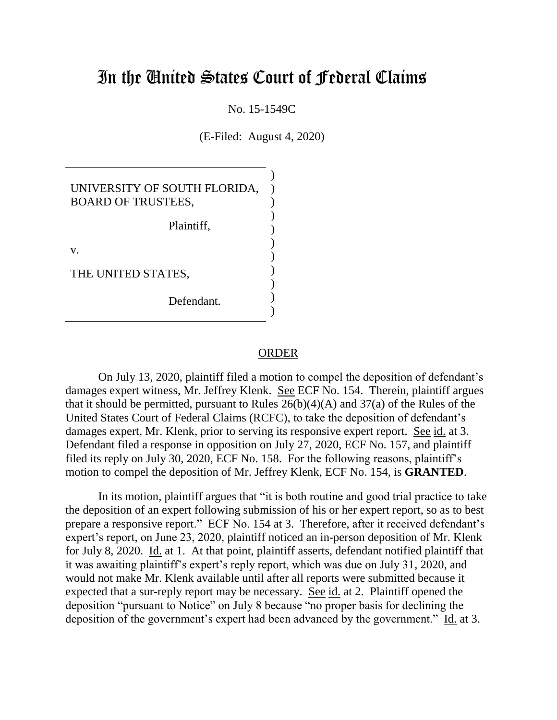## In the United States Court of Federal Claims

No. 15-1549C

(E-Filed: August 4, 2020)

| UNIVERSITY OF SOUTH FLORIDA,<br><b>BOARD OF TRUSTEES,</b> |  |
|-----------------------------------------------------------|--|
| Plaintiff,                                                |  |
| V.                                                        |  |
| THE UNITED STATES,                                        |  |
| Defendant.                                                |  |

## **ORDER**

On July 13, 2020, plaintiff filed a motion to compel the deposition of defendant's damages expert witness, Mr. Jeffrey Klenk. See ECF No. 154. Therein, plaintiff argues that it should be permitted, pursuant to Rules  $26(b)(4)(A)$  and  $37(a)$  of the Rules of the United States Court of Federal Claims (RCFC), to take the deposition of defendant's damages expert, Mr. Klenk, prior to serving its responsive expert report. See id. at 3. Defendant filed a response in opposition on July 27, 2020, ECF No. 157, and plaintiff filed its reply on July 30, 2020, ECF No. 158. For the following reasons, plaintiff's motion to compel the deposition of Mr. Jeffrey Klenk, ECF No. 154, is **GRANTED**.

In its motion, plaintiff argues that "it is both routine and good trial practice to take the deposition of an expert following submission of his or her expert report, so as to best prepare a responsive report." ECF No. 154 at 3. Therefore, after it received defendant's expert's report, on June 23, 2020, plaintiff noticed an in-person deposition of Mr. Klenk for July 8, 2020. Id. at 1. At that point, plaintiff asserts, defendant notified plaintiff that it was awaiting plaintiff's expert's reply report, which was due on July 31, 2020, and would not make Mr. Klenk available until after all reports were submitted because it expected that a sur-reply report may be necessary. See id. at 2. Plaintiff opened the deposition "pursuant to Notice" on July 8 because "no proper basis for declining the deposition of the government's expert had been advanced by the government." Id. at 3.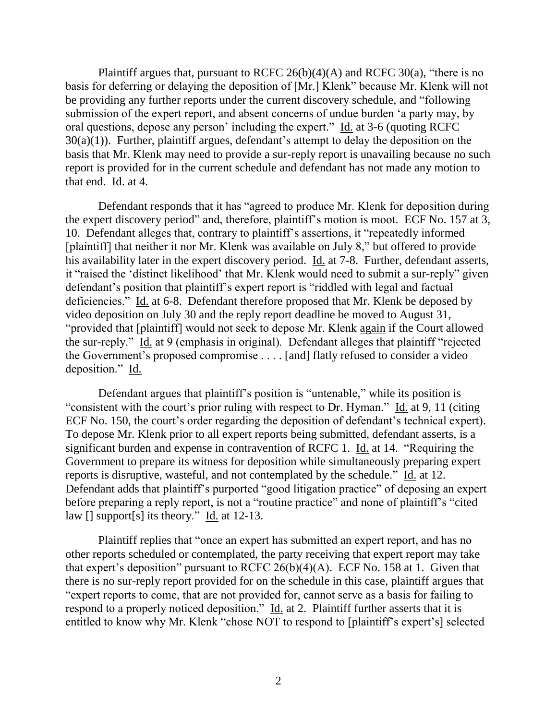Plaintiff argues that, pursuant to RCFC  $26(b)(4)(A)$  and RCFC  $30(a)$ , "there is no basis for deferring or delaying the deposition of [Mr.] Klenk" because Mr. Klenk will not be providing any further reports under the current discovery schedule, and "following submission of the expert report, and absent concerns of undue burden 'a party may, by oral questions, depose any person' including the expert." Id. at 3-6 (quoting RCFC  $30(a)(1)$ ). Further, plaintiff argues, defendant's attempt to delay the deposition on the basis that Mr. Klenk may need to provide a sur-reply report is unavailing because no such report is provided for in the current schedule and defendant has not made any motion to that end. Id. at 4.

Defendant responds that it has "agreed to produce Mr. Klenk for deposition during the expert discovery period" and, therefore, plaintiff's motion is moot. ECF No. 157 at 3, 10. Defendant alleges that, contrary to plaintiff's assertions, it "repeatedly informed [plaintiff] that neither it nor Mr. Klenk was available on July 8," but offered to provide his availability later in the expert discovery period. Id. at 7-8. Further, defendant asserts, it "raised the 'distinct likelihood' that Mr. Klenk would need to submit a sur-reply" given defendant's position that plaintiff's expert report is "riddled with legal and factual deficiencies." Id. at 6-8. Defendant therefore proposed that Mr. Klenk be deposed by video deposition on July 30 and the reply report deadline be moved to August 31, "provided that [plaintiff] would not seek to depose Mr. Klenk again if the Court allowed the sur-reply." Id. at 9 (emphasis in original). Defendant alleges that plaintiff "rejected the Government's proposed compromise . . . . [and] flatly refused to consider a video deposition." Id.

Defendant argues that plaintiff's position is "untenable," while its position is "consistent with the court's prior ruling with respect to Dr. Hyman." Id. at 9, 11 (citing ECF No. 150, the court's order regarding the deposition of defendant's technical expert). To depose Mr. Klenk prior to all expert reports being submitted, defendant asserts, is a significant burden and expense in contravention of RCFC 1. Id. at 14. "Requiring the Government to prepare its witness for deposition while simultaneously preparing expert reports is disruptive, wasteful, and not contemplated by the schedule." Id. at 12. Defendant adds that plaintiff's purported "good litigation practice" of deposing an expert before preparing a reply report, is not a "routine practice" and none of plaintiff's "cited law [] support[s] its theory." Id. at 12-13.

Plaintiff replies that "once an expert has submitted an expert report, and has no other reports scheduled or contemplated, the party receiving that expert report may take that expert's deposition" pursuant to RCFC  $26(b)(4)(A)$ . ECF No. 158 at 1. Given that there is no sur-reply report provided for on the schedule in this case, plaintiff argues that "expert reports to come, that are not provided for, cannot serve as a basis for failing to respond to a properly noticed deposition."  $\underline{Id}$  at 2. Plaintiff further asserts that it is entitled to know why Mr. Klenk "chose NOT to respond to [plaintiff's expert's] selected